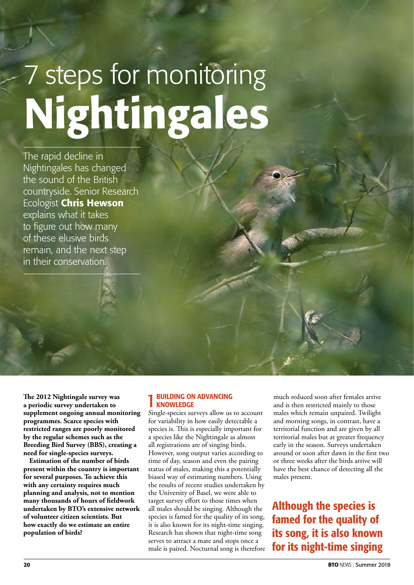# 7 steps for monitoring Nightingales

The rapid decline in Nightingales has changed the sound of the British countryside. Senior Research Ecologist Chris Hewson explains what it takes to figure out how many of these elusive birds remain, and the next step in their conservation.

**The 2012 Nightingale survey was a periodic survey undertaken to supplement ongoing annual monitoring programmes. Scarce species with restricted ranges are poorly monitored by the regular schemes such as the Breeding Bird Survey (BBS), creating a need for single-species surveys.**

**Estimation of the number of birds present within the country is important for several purposes. To achieve this with any certainty requires much planning and analysis, not to mention many thousands of hours of fieldwork undertaken by BTO's extensive network of volunteer citizen scientists. But how exactly do we estimate an entire population of birds?** 

### 1BUILDING ON ADVANCING **KNOWLEDGE**

Single-species surveys allow us to account for variability in how easily detectable a species is. This is especially important for a species like the Nightingale as almost all registrations are of singing birds. However, song output varies according to time of day, season and even the pairing status of males, making this a potentially biased way of estimating numbers. Using the results of recent studies undertaken by the University of Basel, we were able to target survey effort to those times when all males should be singing. Although the species is famed for the quality of its song, it is also known for its night-time singing. Research has shown that night-time song serves to attract a mate and stops once a male is paired. Nocturnal song is therefore much reduced soon after females arrive and is then restricted mainly to those males which remain unpaired. Twilight and morning songs, in contrast, have a territorial function and are given by all territorial males but at greater frequency early in the season. Surveys undertaken around or soon after dawn in the first two or three weeks after the birds arrive will have the best chance of detecting all the males present.

Although the species is famed for the quality of its song, it is also known for its night-time singing